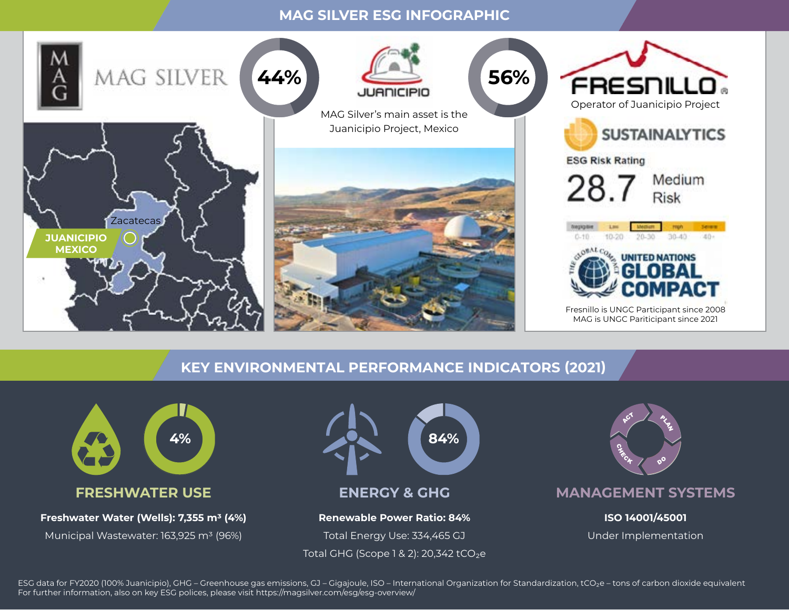#### **MAG SILVER ESG INFOGRAPHIC**



# **KEY ENVIRONMENTAL PERFORMANCE INDICATORS (2021)**



Municipal Wastewater: 163,925 m3 (96%)



**ENERGY & GHG** 

#### **Renewable Power Ratio: 84%**  Total Energy Use: 334,465 GJ

Total GHG (Scope  $1 & 2$ ): 20,342 tCO<sub>2</sub>e



**MANAGEMENT SYSTEMS**

**ISO 14001/45001**  Under Implementation

ESG data for FY2020 (100% Juanicipio), GHG – Greenhouse gas emissions, GJ – Gigajoule, ISO – International Organization for Standardization, tCO<sub>2</sub>e – tons of carbon dioxide equivalent For further information, also on key ESG polices, please visit https://magsilver.com/esg/esg-overview/